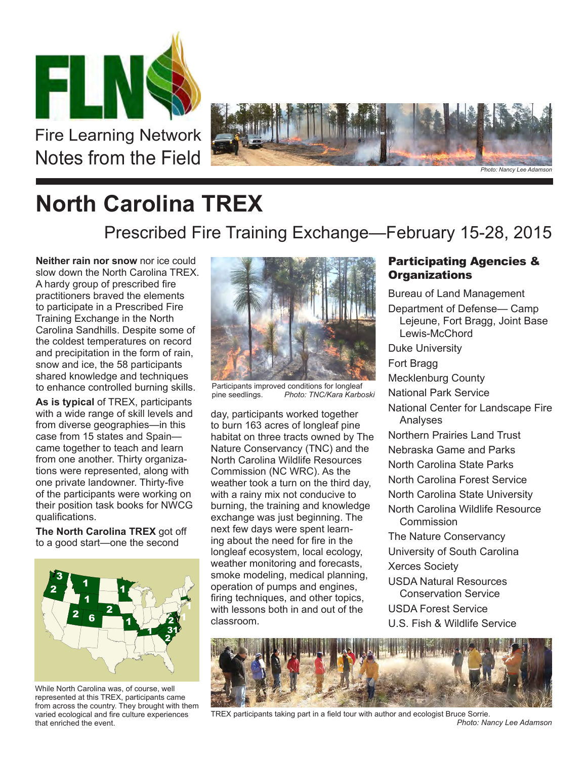

Fire Learning Network Notes from the Field



## **North Carolina TREX**

Prescribed Fire Training Exchange—February 15-28, 2015

**Neither rain nor snow** nor ice could slow down the North Carolina TREX. A hardy group of prescribed fire practitioners braved the elements to participate in a Prescribed Fire Training Exchange in the North Carolina Sandhills. Despite some of the coldest temperatures on record and precipitation in the form of rain, snow and ice, the 58 participants shared knowledge and techniques to enhance controlled burning skills.

**As is typical** of TREX, participants with a wide range of skill levels and from diverse geographies—in this case from 15 states and Spain came together to teach and learn from one another. Thirty organizations were represented, along with one private landowner. Thirty-five of the participants were working on their position task books for NWCG qualifications.

**The North Carolina TREX** got off to a good start—one the second



While North Carolina was, of course, well represented at this TREX, participants came from across the country. They brought with them varied ecological and fire culture experiences that enriched the event.



Participants improved conditions for longleaf<br>pine seedlings. Photo: TNC/Kara Karbo Photo: TNC/Kara Karboski

day, participants worked together to burn 163 acres of longleaf pine habitat on three tracts owned by The Nature Conservancy (TNC) and the North Carolina Wildlife Resources Commission (NC WRC). As the weather took a turn on the third day, with a rainy mix not conducive to burning, the training and knowledge exchange was just beginning. The next few days were spent learning about the need for fire in the longleaf ecosystem, local ecology, weather monitoring and forecasts, smoke modeling, medical planning, operation of pumps and engines, firing techniques, and other topics, with lessons both in and out of the classroom.

## Participating Agencies & **Organizations**

Bureau of Land Management Department of Defense— Camp Lejeune, Fort Bragg, Joint Base Lewis-McChord Duke University Fort Bragg Mecklenburg County National Park Service National Center for Landscape Fire Analyses Northern Prairies Land Trust Nebraska Game and Parks North Carolina State Parks North Carolina Forest Service North Carolina State University North Carolina Wildlife Resource Commission The Nature Conservancy University of South Carolina Xerces Society USDA Natural Resources Conservation Service USDA Forest Service U.S. Fish & Wildlife Service



TREX participants taking part in a field tour with author and ecologist Bruce Sorrie. *Photo: Nancy Lee Adamson*